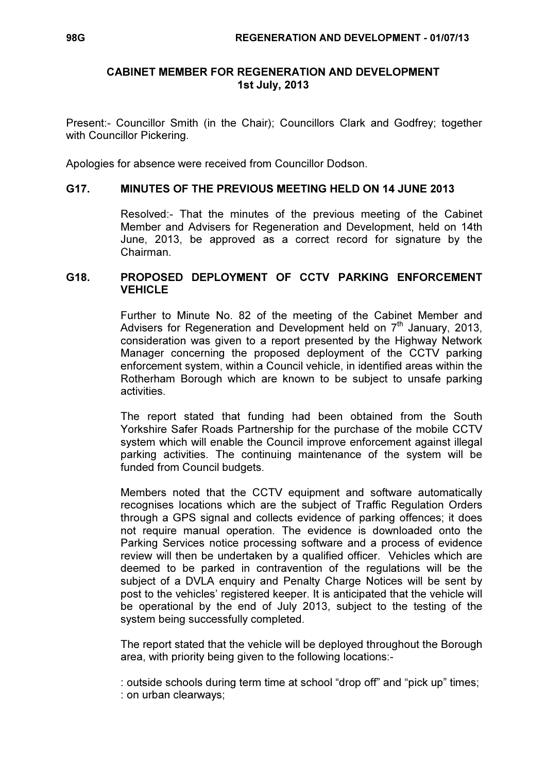### CABINET MEMBER FOR REGENERATION AND DEVELOPMENT 1st July, 2013

Present:- Councillor Smith (in the Chair); Councillors Clark and Godfrey; together with Councillor Pickering.

Apologies for absence were received from Councillor Dodson.

### G17. MINUTES OF THE PREVIOUS MEETING HELD ON 14 JUNE 2013

 Resolved:- That the minutes of the previous meeting of the Cabinet Member and Advisers for Regeneration and Development, held on 14th June, 2013, be approved as a correct record for signature by the Chairman.

### G18. PROPOSED DEPLOYMENT OF CCTV PARKING ENFORCEMENT **VEHICLE**

 Further to Minute No. 82 of the meeting of the Cabinet Member and Advisers for Regeneration and Development held on  $7<sup>th</sup>$  January, 2013, consideration was given to a report presented by the Highway Network Manager concerning the proposed deployment of the CCTV parking enforcement system, within a Council vehicle, in identified areas within the Rotherham Borough which are known to be subject to unsafe parking activities.

The report stated that funding had been obtained from the South Yorkshire Safer Roads Partnership for the purchase of the mobile CCTV system which will enable the Council improve enforcement against illegal parking activities. The continuing maintenance of the system will be funded from Council budgets.

Members noted that the CCTV equipment and software automatically recognises locations which are the subject of Traffic Regulation Orders through a GPS signal and collects evidence of parking offences; it does not require manual operation. The evidence is downloaded onto the Parking Services notice processing software and a process of evidence review will then be undertaken by a qualified officer. Vehicles which are deemed to be parked in contravention of the regulations will be the subject of a DVLA enquiry and Penalty Charge Notices will be sent by post to the vehicles' registered keeper. It is anticipated that the vehicle will be operational by the end of July 2013, subject to the testing of the system being successfully completed.

The report stated that the vehicle will be deployed throughout the Borough area, with priority being given to the following locations:-

: outside schools during term time at school "drop off" and "pick up" times; : on urban clearways;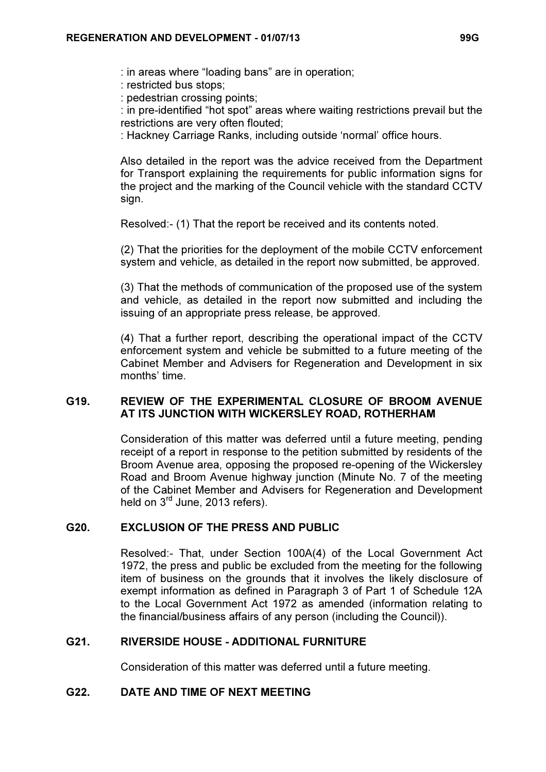: in areas where "loading bans" are in operation;

: restricted bus stops;

: pedestrian crossing points;

: in pre-identified "hot spot" areas where waiting restrictions prevail but the restrictions are very often flouted;

: Hackney Carriage Ranks, including outside 'normal' office hours.

Also detailed in the report was the advice received from the Department for Transport explaining the requirements for public information signs for the project and the marking of the Council vehicle with the standard CCTV sign.

Resolved:- (1) That the report be received and its contents noted.

(2) That the priorities for the deployment of the mobile CCTV enforcement system and vehicle, as detailed in the report now submitted, be approved.

(3) That the methods of communication of the proposed use of the system and vehicle, as detailed in the report now submitted and including the issuing of an appropriate press release, be approved.

(4) That a further report, describing the operational impact of the CCTV enforcement system and vehicle be submitted to a future meeting of the Cabinet Member and Advisers for Regeneration and Development in six months' time.

## G19. REVIEW OF THE EXPERIMENTAL CLOSURE OF BROOM AVENUE AT ITS JUNCTION WITH WICKERSLEY ROAD, ROTHERHAM

 Consideration of this matter was deferred until a future meeting, pending receipt of a report in response to the petition submitted by residents of the Broom Avenue area, opposing the proposed re-opening of the Wickersley Road and Broom Avenue highway junction (Minute No. 7 of the meeting of the Cabinet Member and Advisers for Regeneration and Development held on 3<sup>rd</sup> June, 2013 refers).

# G20. EXCLUSION OF THE PRESS AND PUBLIC

 Resolved:- That, under Section 100A(4) of the Local Government Act 1972, the press and public be excluded from the meeting for the following item of business on the grounds that it involves the likely disclosure of exempt information as defined in Paragraph 3 of Part 1 of Schedule 12A to the Local Government Act 1972 as amended (information relating to the financial/business affairs of any person (including the Council)).

### G21. RIVERSIDE HOUSE - ADDITIONAL FURNITURE

Consideration of this matter was deferred until a future meeting.

### G22. DATE AND TIME OF NEXT MEETING